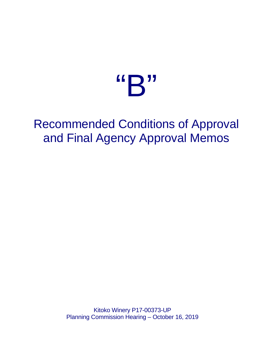# "B"

# Recommended Conditions of Approval and Final Agency Approval Memos

Kitoko Winery P17-00373-UP Planning Commission Hearing – October 16, 2019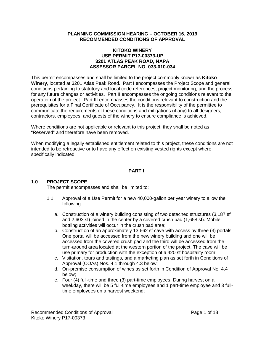#### **PLANNING COMMISSION HEARING – OCTOBER 16, 2019 RECOMMENDED CONDITIONS OF APPROVAL**

#### **KITOKO WINERY USE PERMIT P17-00373-UP 3201 ATLAS PEAK ROAD, NAPA ASSESSOR PARCEL NO. 033-010-034**

This permit encompasses and shall be limited to the project commonly known as **Kitoko Winery**, located at 3201 Atlas Peak Road. Part I encompasses the Project Scope and general conditions pertaining to statutory and local code references, project monitoring, and the process for any future changes or activities. Part II encompasses the ongoing conditions relevant to the operation of the project. Part III encompasses the conditions relevant to construction and the prerequisites for a Final Certificate of Occupancy. It is the responsibility of the permittee to communicate the requirements of these conditions and mitigations (if any) to all designers, contractors, employees, and guests of the winery to ensure compliance is achieved.

Where conditions are not applicable or relevant to this project, they shall be noted as "Reserved" and therefore have been removed.

When modifying a legally established entitlement related to this project, these conditions are not intended to be retroactive or to have any effect on existing vested rights except where specifically indicated.

#### **PART I**

#### **1.0 PROJECT SCOPE**

The permit encompasses and shall be limited to:

- 1.1 Approval of a Use Permit for a new 40,000-gallon per year winery to allow the following
	- a. Construction of a winery building consisting of two detached structures (3,187 sf and 2,603 sf) joined in the center by a covered crush pad (1,658 sf). Mobile bottling activities will occur in the crush pad area;
	- b. Construction of an approximately 13,662 sf cave with access by three (3) portals. One portal will be accessed from the new winery building and one will be accessed from the covered crush pad and the third will be accessed from the turn-around area located at the western portion of the project. The cave will be use primary for production with the exception of a 420 sf hospitality room;
	- c. Visitation, tours and tastings, and a marketing plan as set forth in Conditions of Approval (COAs) Nos. 4.1 through 4.3 below;
	- d. On-premise consumption of wines as set forth in Condition of Approval No. 4.4 below;
	- e. Four (4) full-time and three (3) part-time employees; During harvest on a weekday, there will be 5 full-time employees and 1 part-time employee and 3 fulltime employees on a harvest weekend;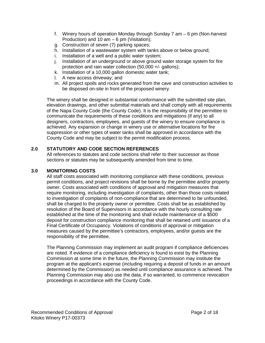- f. Winery hours of operation Monday through Sunday 7 am 6 pm (Non-harvest Production) and 10 am – 6 pm (Visitation);
- g. Construction of seven (7) parking spaces;
- h. Installation of a wastewater system with tanks above or below ground;
- i. Installation of a well and a public water system;
- j. Installation of an underground or above ground water storage system for fire protection and rain water collection (50,000 +/- gallons);
- k. Installation of a 10,000 gallon domestic water tank;
- l. A new access driveway; and
- m. All project spoils and rocks generated from the cave and construction activities to be disposed on-site in front of the proposed winery.

The winery shall be designed in substantial conformance with the submitted site plan, elevation drawings, and other submittal materials and shall comply with all requirements of the Napa County Code (the County Code). It is the responsibility of the permittee to communicate the requirements of these conditions and mitigations (if any) to all designers, contractors, employees, and guests of the winery to ensure compliance is achieved. Any expansion or change in winery use or alternative locations for fire suppression or other types of water tanks shall be approved in accordance with the County Code and may be subject to the permit modification process.

#### **2.0 STATUTORY AND CODE SECTION REFERENCES**

All references to statutes and code sections shall refer to their successor as those sections or statutes may be subsequently amended from time to time.

#### **3.0 MONITORING COSTS**

All staff costs associated with monitoring compliance with these conditions, previous permit conditions, and project revisions shall be borne by the permittee and/or property owner. Costs associated with conditions of approval and mitigation measures that require monitoring, including investigation of complaints, other than those costs related to investigation of complaints of non-compliance that are determined to be unfounded, shall be charged to the property owner or permittee. Costs shall be as established by resolution of the Board of Supervisors in accordance with the hourly consulting rate established at the time of the monitoring and shall include maintenance of a \$500 deposit for construction compliance monitoring that shall be retained until issuance of a Final Certificate of Occupancy. Violations of conditions of approval or mitigation measures caused by the permittee's contractors, employees, and/or guests are the responsibility of the permittee.

The Planning Commission may implement an audit program if compliance deficiencies are noted. If evidence of a compliance deficiency is found to exist by the Planning Commission at some time in the future, the Planning Commission may institute the program at the applicant's expense (including requiring a deposit of funds in an amount determined by the Commission) as needed until compliance assurance is achieved. The Planning Commission may also use the data, if so warranted, to commence revocation proceedings in accordance with the County Code.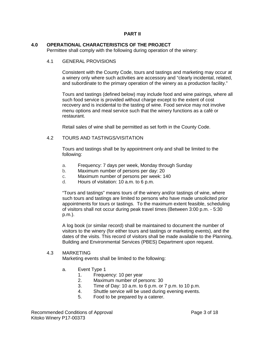#### **PART II**

#### **4.0 OPERATIONAL CHARACTERISTICS OF THE PROJECT**

Permittee shall comply with the following during operation of the winery:

#### 4.1 GENERAL PROVISIONS

Consistent with the County Code, tours and tastings and marketing may occur at a winery only where such activities are accessory and "clearly incidental, related, and subordinate to the primary operation of the winery as a production facility."

Tours and tastings (defined below) may include food and wine pairings, where all such food service is provided without charge except to the extent of cost recovery and is incidental to the tasting of wine. Food service may not involve menu options and meal service such that the winery functions as a café or restaurant.

Retail sales of wine shall be permitted as set forth in the County Code.

#### 4.2 TOURS AND TASTINGS/VISITATION

Tours and tastings shall be by appointment only and shall be limited to the following:

- a. Frequency: 7 days per week, Monday through Sunday
- b. Maximum number of persons per day: 20
- c. Maximum number of persons per week: 140
- d. Hours of visitation: 10 a.m. to 6 p.m.

"Tours and tastings" means tours of the winery and/or tastings of wine, where such tours and tastings are limited to persons who have made unsolicited prior appointments for tours or tastings. To the maximum extent feasible, scheduling of visitors shall not occur during peak travel times (Between 3:00 p.m. - 5:30 p.m.).

A log book (or similar record) shall be maintained to document the number of visitors to the winery (for either tours and tastings or marketing events), and the dates of the visits. This record of visitors shall be made available to the Planning, Building and Environmental Services (PBES) Department upon request.

#### 4.3 MARKETING

Marketing events shall be limited to the following:

- a. Event Type 1
	- 1. Frequency: 10 per year
	- 2. Maximum number of persons: 30<br>3. Time of Day: 10 a m, to 6 p m, or
	- Time of Day: 10 a.m. to 6 p.m. or  $7$  p.m. to 10 p.m.
	- 4. Shuttle service will be used during evening events.
	- 5. Food to be prepared by a caterer.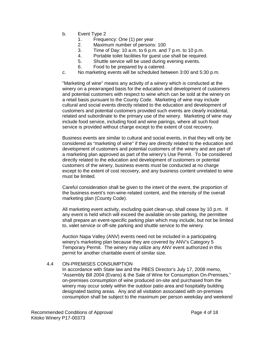- b. Event Type 2
	- 1. Frequency: One (1) per year
	- 2. Maximum number of persons: 100
	- 3. Time of Day: 10 a.m. to 6 p.m. and 7 p.m. to 10 p.m.
	- 4. Portable toilet facilities for guest use shall be required.
	- 5. Shuttle service will be used during evening events.
	- 6. Food to be prepared by a catered.
- c. No marketing events will be scheduled between 3:00 and 5:30 p.m.

"Marketing of wine" means any activity of a winery which is conducted at the winery on a prearranged basis for the education and development of customers and potential customers with respect to wine which can be sold at the winery on a retail basis pursuant to the County Code. Marketing of wine may include cultural and social events directly related to the education and development of customers and potential customers provided such events are clearly incidental, related and subordinate to the primary use of the winery. Marketing of wine may include food service, including food and wine pairings, where all such food service is provided without charge except to the extent of cost recovery.

Business events are similar to cultural and social events, in that they will only be considered as "marketing of wine" if they are directly related to the education and development of customers and potential customers of the winery and are part of a marketing plan approved as part of the winery's Use Permit. To be considered directly related to the education and development of customers or potential customers of the winery, business events must be conducted at no charge except to the extent of cost recovery, and any business content unrelated to wine must be limited.

Careful consideration shall be given to the intent of the event, the proportion of the business event's non-wine-related content, and the intensity of the overall marketing plan (County Code).

All marketing event activity, excluding quiet clean-up, shall cease by 10 p.m. If any event is held which will exceed the available on-site parking, the permittee shall prepare an event-specific parking plan which may include, but not be limited to, valet service or off-site parking and shuttle service to the winery.

Auction Napa Valley (ANV) events need not be included in a participating winery's marketing plan because they are covered by ANV's Category 5 Temporary Permit. The winery may utilize any ANV event authorized in this permit for another charitable event of similar size.

#### 4.4 ON-PREMISES CONSUMPTION

In accordance with State law and the PBES Director's July 17, 2008 memo, "Assembly Bill 2004 (Evans) & the Sale of Wine for Consumption On-Premises," on-premises consumption of wine produced on-site and purchased from the winery may occur solely within the outdoor patio area and hospitality building designated tasting areas. Any and all visitation associated with on-premises consumption shall be subject to the maximum per person weekday and weekend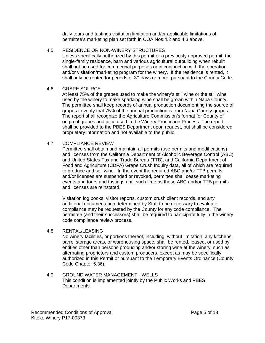daily tours and tastings visitation limitation and/or applicable limitations of permittee's marketing plan set forth in COA Nos.4.2 and 4.3 above.

#### 4.5 RESIDENCE OR NON-WINERY STRUCTURES

Unless specifically authorized by this permit or a previously approved permit, the single-family residence, barn and various agricultural outbuilding when rebuilt shall not be used for commercial purposes or in conjunction with the operation and/or visitation/marketing program for the winery. If the residence is rented, it shall only be rented for periods of 30 days or more, pursuant to the County Code.

#### 4.6 GRAPE SOURCE

At least 75% of the grapes used to make the winery's still wine or the still wine used by the winery to make sparkling wine shall be grown within Napa County**.**  The permittee shall keep records of annual production documenting the source of grapes to verify that 75% of the annual production is from Napa County grapes. The report shall recognize the Agriculture Commission's format for County of origin of grapes and juice used in the Winery Production Process. The report shall be provided to the PBES Department upon request, but shall be considered proprietary information and not available to the public.

#### 4.7 COMPLIANCE REVIEW

Permittee shall obtain and maintain all permits (use permits and modifications) and licenses from the California Department of Alcoholic Beverage Control (ABC) and United States Tax and Trade Bureau (TTB), and California Department of Food and Agriculture (CDFA) Grape Crush Inquiry data, all of which are required to produce and sell wine. In the event the required ABC and/or TTB permits and/or licenses are suspended or revoked, permittee shall cease marketing events and tours and tastings until such time as those ABC and/or TTB permits and licenses are reinstated.

Visitation log books, visitor reports, custom crush client records, and any additional documentation determined by Staff to be necessary to evaluate compliance may be requested by the County for any code compliance. The permittee (and their successors) shall be required to participate fully in the winery code compliance review process.

#### 4.8 RENTAL/LEASING

No winery facilities, or portions thereof, including, without limitation, any kitchens, barrel storage areas, or warehousing space, shall be rented, leased, or used by entities other than persons producing and/or storing wine at the winery, such as alternating proprietors and custom producers, except as may be specifically authorized in this Permit or pursuant to the Temporary Events Ordinance (County Code Chapter 5.36).

#### 4.9 GROUND WATER MANAGEMENT - WELLS This condition is implemented jointly by the Public Works and PBES Departments: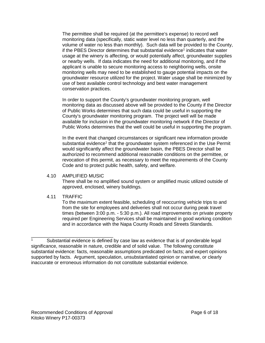The permittee shall be required (at the permittee's expense) to record well monitoring data (specifically, static water level no less than quarterly, and the volume of water no less than monthly). Such data will be provided to the County, if the PBES Director determines that substantial evidence<sup>1</sup> indicates that water usage at the winery is affecting, or would potentially affect, groundwater supplies or nearby wells. If data indicates the need for additional monitoring, and if the applicant is unable to secure monitoring access to neighboring wells, onsite monitoring wells may need to be established to gauge potential impacts on the groundwater resource utilized for the project. Water usage shall be minimized by use of best available control technology and best water management conservation practices.

In order to support the County's groundwater monitoring program, well monitoring data as discussed above will be provided to the County if the Director of Public Works determines that such data could be useful in supporting the County's groundwater monitoring program. The project well will be made available for inclusion in the groundwater monitoring network if the Director of Public Works determines that the well could be useful in supporting the program.

In the event that changed circumstances or significant new information provide substantial evidence<sup>1</sup> that the groundwater system referenced in the Use Permit would significantly affect the groundwater basin, the PBES Director shall be authorized to recommend additional reasonable conditions on the permittee, or revocation of this permit, as necessary to meet the requirements of the County Code and to protect public health, safety, and welfare.

#### 4.10 AMPLIFIED MUSIC

There shall be no amplified sound system or amplified music utilized outside of approved, enclosed, winery buildings.

#### 4.11 TRAFFIC

\_\_\_\_\_\_\_\_\_\_\_\_\_\_\_\_\_\_\_\_\_\_\_\_\_\_\_\_\_\_\_

To the maximum extent feasible, scheduling of reoccurring vehicle trips to and from the site for employees and deliveries shall not occur during peak travel times (between 3:00 p.m. - 5:30 p.m.). All road improvements on private property required per Engineering Services shall be maintained in good working condition and in accordance with the Napa County Roads and Streets Standards.

Substantial evidence is defined by case law as evidence that is of ponderable legal significance, reasonable in nature, credible and of solid value. The following constitute substantial evidence: facts, reasonable assumptions predicated on facts; and expert opinions supported by facts. Argument, speculation, unsubstantiated opinion or narrative, or clearly inaccurate or erroneous information do not constitute substantial evidence.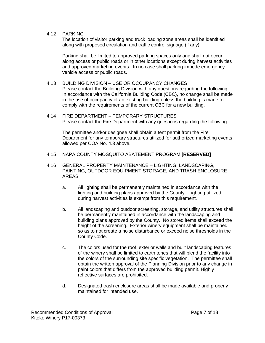#### 4.12 PARKING

The location of visitor parking and truck loading zone areas shall be identified along with proposed circulation and traffic control signage (if any).

Parking shall be limited to approved parking spaces only and shall not occur along access or public roads or in other locations except during harvest activities and approved marketing events. In no case shall parking impede emergency vehicle access or public roads.

#### 4.13 BUILDING DIVISION – USE OR OCCUPANCY CHANGES

Please contact the Building Division with any questions regarding the following: In accordance with the California Building Code (CBC), no change shall be made in the use of occupancy of an existing building unless the building is made to comply with the requirements of the current CBC for a new building.

4.14 FIRE DEPARTMENT – TEMPORARY STRUCTURES Please contact the Fire Department with any questions regarding the following:

The permittee and/or designee shall obtain a tent permit from the Fire Department for any temporary structures utilized for authorized marketing events allowed per COA No. 4.3 above.

- 4.15 NAPA COUNTY MOSQUITO ABATEMENT PROGRAM **[RESERVED]**
- 4.16 GENERAL PROPERTY MAINTENANCE LIGHTING, LANDSCAPING, PAINTING, OUTDOOR EQUIPMENT STORAGE, AND TRASH ENCLOSURE AREAS
	- a. All lighting shall be permanently maintained in accordance with the lighting and building plans approved by the County. Lighting utilized during harvest activities is exempt from this requirement.
	- b. All landscaping and outdoor screening, storage, and utility structures shall be permanently maintained in accordance with the landscaping and building plans approved by the County. No stored items shall exceed the height of the screening. Exterior winery equipment shall be maintained so as to not create a noise disturbance or exceed noise thresholds in the County Code.
	- c. The colors used for the roof, exterior walls and built landscaping features of the winery shall be limited to earth tones that will blend the facility into the colors of the surrounding site specific vegetation. The permittee shall obtain the written approval of the Planning Division prior to any change in paint colors that differs from the approved building permit. Highly reflective surfaces are prohibited.
	- d. Designated trash enclosure areas shall be made available and properly maintained for intended use.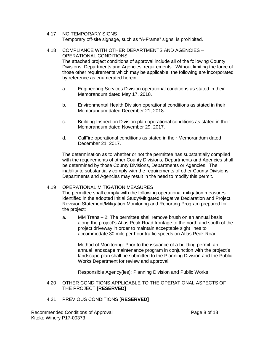#### 4.17 NO TEMPORARY SIGNS

Temporary off-site signage, such as "A-Frame" signs, is prohibited.

- 4.18 COMPLIANCE WITH OTHER DEPARTMENTS AND AGENCIES OPERATIONAL CONDITIONS The attached project conditions of approval include all of the following County Divisions, Departments and Agencies' requirements. Without limiting the force of those other requirements which may be applicable, the following are incorporated by reference as enumerated herein: a. Engineering Services Division operational conditions as stated in their Memorandum dated May 17, 2018.
	- b. Environmental Health Division operational conditions as stated in their Memorandum dated December 21, 2018.
	- c. Building Inspection Division plan operational conditions as stated in their Memorandum dated November 29, 2017.
	- d. CalFire operational conditions as stated in their Memorandum dated December 21, 2017.

The determination as to whether or not the permittee has substantially complied with the requirements of other County Divisions, Departments and Agencies shall be determined by those County Divisions, Departments or Agencies. The inability to substantially comply with the requirements of other County Divisions, Departments and Agencies may result in the need to modify this permit.

#### 4.19 OPERATIONAL MITIGATION MEASURES

The permittee shall comply with the following operational mitigation measures identified in the adopted Initial Study/Mitigated Negative Declaration and Project Revision Statement/Mitigation Monitoring and Reporting Program prepared for the project:

a. MM Trans – 2: The permittee shall remove brush on an annual basis along the project's Atlas Peak Road frontage to the north and south of the project driveway in order to maintain acceptable sight lines to accommodate 30 mile per hour traffic speeds on Atlas Peak Road.

Method of Monitoring: Prior to the issuance of a building permit, an annual landscape maintenance program in conjunction with the project's landscape plan shall be submitted to the Planning Division and the Public Works Department for review and approval.

Responsible Agency(ies): Planning Division and Public Works

#### 4.20 OTHER CONDITIONS APPLICABLE TO THE OPERATIONAL ASPECTS OF THE PROJECT **[RESERVED]**

4.21 PREVIOUS CONDITIONS **[RESERVED]**

Recommended Conditions of Approval **Page 8** of 18 Kitoko Winery P17-00373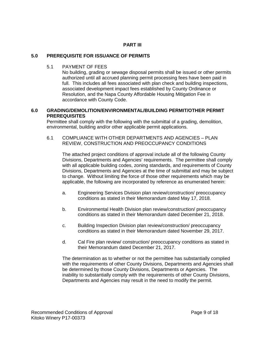#### **PART III**

#### **5.0 PREREQUISITE FOR ISSUANCE OF PERMITS**

5.1 PAYMENT OF FEES

No building, grading or sewage disposal permits shall be issued or other permits authorized until all accrued planning permit processing fees have been paid in full. This includes all fees associated with plan check and building inspections, associated development impact fees established by County Ordinance or Resolution, and the Napa County Affordable Housing Mitigation Fee in accordance with County Code.

#### **6.0 GRADING/DEMOLITION/ENVIRONMENTAL/BUILDING PERMIT/OTHER PERMIT PREREQUISITES**

Permittee shall comply with the following with the submittal of a grading, demolition, environmental, building and/or other applicable permit applications.

6.1 COMPLIANCE WITH OTHER DEPARTMENTS AND AGENCIES – PLAN REVIEW, CONSTRUCTION AND PREOCCUPANCY CONDITIONS

The attached project conditions of approval include all of the following County Divisions, Departments and Agencies' requirements. The permittee shall comply with all applicable building codes, zoning standards, and requirements of County Divisions, Departments and Agencies at the time of submittal and may be subject to change. Without limiting the force of those other requirements which may be applicable, the following are incorporated by reference as enumerated herein:

- a. Engineering Services Division plan review/construction/ preoccupancy conditions as stated in their Memorandum dated May 17, 2018.
- b. Environmental Health Division plan review/construction/ preoccupancy conditions as stated in their Memorandum dated December 21, 2018.
- c. Building Inspection Division plan review/construction/ preoccupancy conditions as stated in their Memorandum dated November 29, 2017.
- d. Cal Fire plan review/ construction/ preoccupancy conditions as stated in their Memorandum dated December 21, 2017.

The determination as to whether or not the permittee has substantially complied with the requirements of other County Divisions, Departments and Agencies shall be determined by those County Divisions, Departments or Agencies. The inability to substantially comply with the requirements of other County Divisions, Departments and Agencies may result in the need to modify the permit.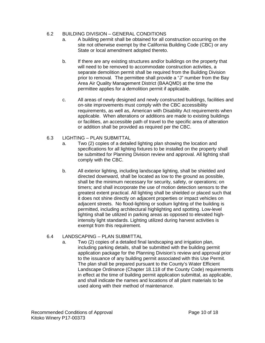#### 6.2 BUILDING DIVISION – GENERAL CONDITIONS

- a. A building permit shall be obtained for all construction occurring on the site not otherwise exempt by the California Building Code (CBC) or any State or local amendment adopted thereto.
- b. If there are any existing structures and/or buildings on the property that will need to be removed to accommodate construction activities, a separate demolition permit shall be required from the Building Division prior to removal. The permittee shall provide a "J" number from the Bay Area Air Quality Management District (BAAQMD) at the time the permittee applies for a demolition permit if applicable.
- c. All areas of newly designed and newly constructed buildings, facilities and on-site improvements must comply with the CBC accessibility requirements, as well as, American with Disability Act requirements when applicable. When alterations or additions are made to existing buildings or facilities, an accessible path of travel to the specific area of alteration or addition shall be provided as required per the CBC.
- 6.3 LIGHTING PLAN SUBMITTAL
	- a. Two (2) copies of a detailed lighting plan showing the location and specifications for all lighting fixtures to be installed on the property shall be submitted for Planning Division review and approval. All lighting shall comply with the CBC.
	- b. All exterior lighting, including landscape lighting, shall be shielded and directed downward, shall be located as low to the ground as possible, shall be the minimum necessary for security, safety, or operations; on timers; and shall incorporate the use of motion detection sensors to the greatest extent practical. All lighting shall be shielded or placed such that it does not shine directly on adjacent properties or impact vehicles on adjacent streets. No flood-lighting or sodium lighting of the building is permitted, including architectural highlighting and spotting. Low-level lighting shall be utilized in parking areas as opposed to elevated highintensity light standards. Lighting utilized during harvest activities is exempt from this requirement.

#### 6.4 LANDSCAPING – PLAN SUBMITTAL

a. Two (2) copies of a detailed final landscaping and irrigation plan, including parking details, shall be submitted with the building permit application package for the Planning Division's review and approval prior to the issuance of any building permit associated with this Use Permit. The plan shall be prepared pursuant to the County's Water Efficient Landscape Ordinance (Chapter 18.118 of the County Code) requirements in effect at the time of building permit application submittal, as applicable, and shall indicate the names and locations of all plant materials to be used along with their method of maintenance.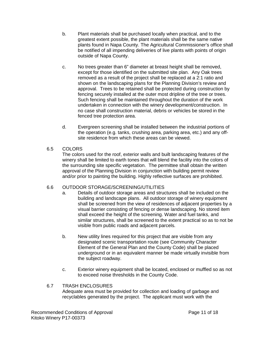- b. Plant materials shall be purchased locally when practical, and to the greatest extent possible, the plant materials shall be the same native plants found in Napa County. The Agricultural Commissioner's office shall be notified of all impending deliveries of live plants with points of origin outside of Napa County.
- c. No trees greater than 6" diameter at breast height shall be removed, except for those identified on the submitted site plan. Any Oak trees removed as a result of the project shall be replaced at a 2:1 ratio and shown on the landscaping plans for the Planning Division's review and approval. Trees to be retained shall be protected during construction by fencing securely installed at the outer most dripline of the tree or trees. Such fencing shall be maintained throughout the duration of the work undertaken in connection with the winery development/construction. In no case shall construction material, debris or vehicles be stored in the fenced tree protection area.
- d. Evergreen screening shall be installed between the industrial portions of the operation (e.g. tanks, crushing area, parking area, etc.) and any offsite residence from which these areas can be viewed.

#### 6.5 COLORS

The colors used for the roof, exterior walls and built landscaping features of the winery shall be limited to earth tones that will blend the facility into the colors of the surrounding site specific vegetation. The permittee shall obtain the written approval of the Planning Division in conjunction with building permit review and/or prior to painting the building. Highly reflective surfaces are prohibited.

#### 6.6 OUTDOOR STORAGE/SCREENING/UTILITIES

- a. Details of outdoor storage areas and structures shall be included on the building and landscape plans. All outdoor storage of winery equipment shall be screened from the view of residences of adjacent properties by a visual barrier consisting of fencing or dense landscaping. No stored item shall exceed the height of the screening. Water and fuel tanks, and similar structures, shall be screened to the extent practical so as to not be visible from public roads and adjacent parcels.
- b. New utility lines required for this project that are visible from any designated scenic transportation route (see Community Character Element of the General Plan and the County Code) shall be placed underground or in an equivalent manner be made virtually invisible from the subject roadway.
- c. Exterior winery equipment shall be located, enclosed or muffled so as not to exceed noise thresholds in the County Code.
- 6.7 TRASH ENCLOSURES Adequate area must be provided for collection and loading of garbage and recyclables generated by the project. The applicant must work with the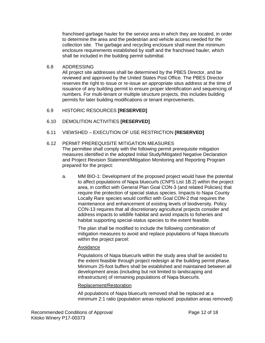franchised garbage hauler for the service area in which they are located, in order to determine the area and the pedestrian and vehicle access needed for the collection site. The garbage and recycling enclosure shall meet the minimum enclosure requirements established by staff and the franchised hauler, which shall be included in the building permit submittal.

#### 6.8 ADDRESSING

All project site addresses shall be determined by the PBES Director, and be reviewed and approved by the United States Post Office. The PBES Director reserves the right to issue or re-issue an appropriate situs address at the time of issuance of any building permit to ensure proper identification and sequencing of numbers. For multi-tenant or multiple structure projects, this includes building permits for later building modifications or tenant improvements.

#### 6.9 HISTORIC RESOURCES **[RESERVED]**

#### 6.10 DEMOLITION ACTIVITIES **[RESERVED]**

#### 6.11 VIEWSHED – EXECUTION OF USE RESTRICTION **[RESERVED]**

#### 6.12 PERMIT PREREQUISITE MITIGATION MEASURES

The permittee shall comply with the following permit prerequisite mitigation measures identified in the adopted Initial Study/Mitigated Negative Declaration and Project Revision Statement/Mitigation Monitoring and Reporting Program prepared for the project:

a. MM BIO-1: Development of the proposed project would have the potential to affect populations of Napa bluecurls (CNPS List 1B.2) within the project area, in conflict with General Plan Goal CON-3 (and related Policies) that require the protection of special status species. Impacts to Napa County Locally Rare species would conflict with Goal CON-2 that requires the maintenance and enhancement of existing levels of biodiversity. Policy CON-13 requires that all discretionary agricultural projects consider and address impacts to wildlife habitat and avoid impacts to fisheries and habitat supporting special-status species to the extent feasible.

The plan shall be modified to include the following combination of mitigation measures to avoid and replace populations of Napa bluecurls within the project parcel:

#### Avoidance

Populations of Napa bluecurls within the study area shall be avoided to the extent feasible through project redesign at the building permit phase. Minimum 25-foot buffers shall be established and maintained between all development areas (including but not limited to landscaping and infrastructure) of remaining populations of Napa bluecurls.

#### Replacement/Restoration

All populations of Napa bluecurls removed shall be replaced at a minimum 2:1 ratio (population areas replaced: population areas removed)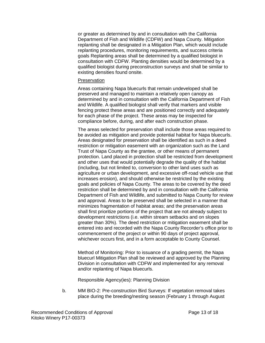or greater as determined by and in consultation with the California Department of Fish and Wildlife (CDFW) and Napa County. Mitigation replanting shall be designated in a Mitigation Plan, which would include replanting procedures, monitoring requirements, and success criteria goals Replanting areas shall be determined by a qualified biologist in consultation with CDFW. Planting densities would be determined by a qualified biologist during preconstruction surveys and shall be similar to existing densities found onsite.

#### **Preservation**

Areas containing Napa bluecurls that remain undeveloped shall be preserved and managed to maintain a relatively open canopy as determined by and in consultation with the California Department of Fish and Wildlife. A qualified biologist shall verify that markers and visible fencing protect these areas and are positioned correctly and adequately for each phase of the project. These areas may be inspected for compliance before, during, and after each construction phase.

The areas selected for preservation shall include those areas required to be avoided as mitigation and provide potential habitat for Napa bluecurls. Areas designated for preservation shall be identified as such in a deed restriction or mitigation easement with an organization such as the Land Trust of Napa County as the grantee, or other means of permanent protection. Land placed in protection shall be restricted from development and other uses that would potentially degrade the quality of the habitat (including, but not limited to, conversion to other land uses such as agriculture or urban development, and excessive off-road vehicle use that increases erosion), and should otherwise be restricted by the existing goals and policies of Napa County. The areas to be covered by the deed restriction shall be determined by and in consultation with the California Department of Fish and Wildlife, and submitted to Napa County for review and approval. Areas to be preserved shall be selected in a manner that minimizes fragmentation of habitat areas; and the preservation areas shall first prioritize portions of the project that are not already subject to development restrictions (i.e. within stream setbacks and on slopes greater than 30%). The deed restriction or mitigation easement shall be entered into and recorded with the Napa County Recorder's office prior to commencement of the project or within 90 days of project approval, whichever occurs first, and in a form acceptable to County Counsel.

Method of Monitoring: Prior to issuance of a grading permit, the Napa bluecurl Mitigation Plan shall be reviewed and approved by the Planning Division in consultation with CDFW and implemented for any removal and/or replanting of Napa bluecurls.

Responsible Agency(ies): Planning Division

b. MM BIO-2: Pre-construction Bird Surveys: If vegetation removal takes place during the breeding/nesting season (February 1 through August

Recommended Conditions of Approval **Page 13 of 18** Page 13 of 18 Kitoko Winery P17-00373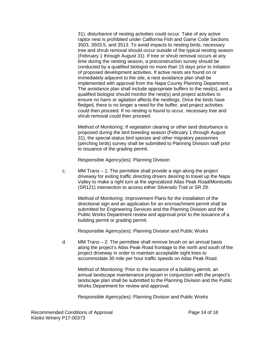31), disturbance of nesting activities could occur. Take of any active raptor nest is prohibited under California Fish and Game Code Sections 3503, 3503.5, and 3513. To avoid impacts to nesting birds, necessary tree and shrub removal should occur outside of the typical nesting season (February 1 through August 31). If tree or shrub removal occurs at any time during the nesting season, a preconstruction survey should be conducted by a qualified biologist no more than 15 days prior to initiation of proposed development activities. If active nests are found on or immediately adjacent to the site, a nest avoidance plan shall be implemented with approval from the Napa County Planning Department. The avoidance plan shall include appropriate buffers to the nest(s), and a qualified biologist should monitor the nest(s) and project activities to ensure no harm or agitation affects the nestlings. Once the birds have fledged, there is no longer a need for the buffer, and project activities could then proceed. If no nesting is found to occur, necessary tree and shrub removal could then proceed.

Method of Monitoring: If vegetation clearing or other land disturbance is proposed during the bird breeding season (February 1 through August 31), the special-status bird species and other migratory passerines (perching birds) survey shall be submitted to Planning Division staff prior to issuance of the grading permit.

Responsible Agency(ies): Planning Division

c. MM Trans – 1: The permittee shall provide a sign along the project driveway for exiting traffic directing drivers desiring to travel up the Napa Valley to make a right turn at the signizalized Atlas Peak Road/Monticello (SR121) intersection to access either Silverado Trail or SR 29.

Method of Monitoring: Improvement Plans for the installation of the directional sign and an application for an encroachment permit shall be submitted for Engineering Services and the Planning Division and the Public Works Department review and approval prior to the issuance of a building permit or grading permit.

Responsible Agency(ies): Planning Division and Public Works

d. MM Trans – 2: The permittee shall remove brush on an annual basis along the project's Atlas Peak Road frontage to the north and south of the project driveway in order to maintain acceptable sight lines to accommodate 30 mile per hour traffic speeds on Atlas Peak Road.

Method of Monitoring: Prior to the issuance of a building permit, an annual landscape maintenance program in conjunction with the project's landscape plan shall be submitted to the Planning Division and the Public Works Department for review and approval.

Responsible Agency(ies): Planning Division and Public Works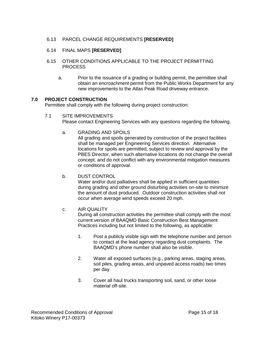#### 6.13 PARCEL CHANGE REQUIREMENTS **[RESERVED]**

#### 6.14 FINAL MAPS **[RESERVED]**

- 6.15 OTHER CONDITIONS APPLICABLE TO THE PROJECT PERMITTING PROCESS
	- a. Prior to the issuance of a grading or building permit, the permittee shall obtain an encroachment permit from the Public Works Department for any new improvements to the Atlas Peak Road driveway entrance.

#### **7.0 PROJECT CONSTRUCTION**

Permittee shall comply with the following during project construction:

- 7.1 SITE IMPROVEMENTS Please contact Engineering Services with any questions regarding the following.
	- a. GRADING AND SPOILS

All grading and spoils generated by construction of the project facilities shall be managed per Engineering Services direction. Alternative locations for spoils are permitted, subject to review and approval by the PBES Director, when such alternative locations do not change the overall concept, and do not conflict with any environmental mitigation measures or conditions of approval.

b. DUST CONTROL

Water and/or dust palliatives shall be applied in sufficient quantities during grading and other ground disturbing activities on-site to minimize the amount of dust produced. Outdoor construction activities shall not occur when average wind speeds exceed 20 mph.

#### c. AIR QUALITY

During all construction activities the permittee shall comply with the most current version of BAAQMD Basic Construction Best Management Practices including but not limited to the following, as applicable:

- 1. Post a publicly visible sign with the telephone number and person to contact at the lead agency regarding dust complaints. The BAAQMD's phone number shall also be visible.
- 2. Water all exposed surfaces (e.g., parking areas, staging areas, soil piles, grading areas, and unpaved access roads) two times per day.
- 3. Cover all haul trucks transporting soil, sand, or other loose material off-site.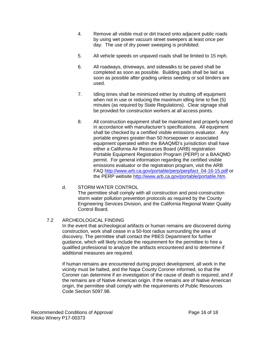- 4. Remove all visible mud or dirt traced onto adjacent public roads by using wet power vacuum street sweepers at least once per day. The use of dry power sweeping is prohibited.
- 5. All vehicle speeds on unpaved roads shall be limited to 15 mph.
- 6. All roadways, driveways, and sidewalks to be paved shall be completed as soon as possible. Building pads shall be laid as soon as possible after grading unless seeding or soil binders are used.
- 7. Idling times shall be minimized either by shutting off equipment when not in use or reducing the maximum idling time to five (5) minutes (as required by State Regulations). Clear signage shall be provided for construction workers at all access points.
- 8. All construction equipment shall be maintained and properly tuned in accordance with manufacturer's specifications. All equipment shall be checked by a certified visible emissions evaluator. Any portable engines greater than 50 horsepower or associated equipment operated within the BAAQMD's jurisdiction shall have either a California Air Resources Board (ARB) registration Portable Equipment Registration Program (PERP) or a BAAQMD permit. For general information regarding the certified visible emissions evaluator or the registration program, visit the ARB FAQ [http://www.arb.ca.gov/portable/perp/perpfact\\_04-16-15.pdf](http://www.arb.ca.gov/portable/perp/perpfact_04-16-15.pdf) or the PERP website [http://www.arb.ca.gov/portable/portable.htm.](http://www.arb.ca.gov/portable/portable.htm)

#### d. STORM WATER CONTROL

The permittee shall comply with all construction and post-construction storm water pollution prevention protocols as required by the County Engineering Services Division, and the California Regional Water Quality Control Board.

#### 7.2 ARCHEOLOGICAL FINDING

In the event that archeological artifacts or human remains are discovered during construction, work shall cease in a 50-foot radius surrounding the area of discovery. The permittee shall contact the PBES Department for further guidance, which will likely include the requirement for the permittee to hire a qualified professional to analyze the artifacts encountered and to determine if additional measures are required.

If human remains are encountered during project development, all work in the vicinity must be halted, and the Napa County Coroner informed, so that the Coroner can determine if an investigation of the cause of death is required, and if the remains are of Native American origin. If the remains are of Native American origin, the permittee shall comply with the requirements of Public Resources Code Section 5097.98.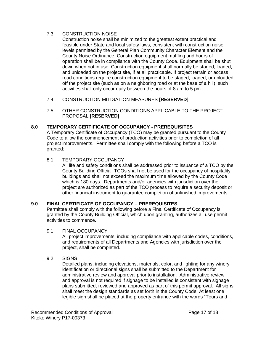#### 7.3 CONSTRUCTION NOISE

Construction noise shall be minimized to the greatest extent practical and feasible under State and local safety laws, consistent with construction noise levels permitted by the General Plan Community Character Element and the County Noise Ordinance. Construction equipment muffling and hours of operation shall be in compliance with the County Code. Equipment shall be shut down when not in use. Construction equipment shall normally be staged, loaded, and unloaded on the project site, if at all practicable. If project terrain or access road conditions require construction equipment to be staged, loaded, or unloaded off the project site (such as on a neighboring road or at the base of a hill), such activities shall only occur daily between the hours of 8 am to 5 pm.

- 7.4 CONSTRUCTION MITIGATION MEASURES **[RESERVED]**
- 7.5 OTHER CONSTRUCTION CONDITIONS APPLICABLE TO THE PROJECT PROPOSAL **[RESERVED]**

#### **8.0 TEMPORARY CERTIFICATE OF OCCUPANCY - PREREQUISITES**

A Temporary Certificate of Occupancy (TCO) may be granted pursuant to the County Code to allow the commencement of production activities prior to completion of all project improvements. Permittee shall comply with the following before a TCO is granted:

#### 8.1 TEMPORARY OCCUPANCY

All life and safety conditions shall be addressed prior to issuance of a TCO by the County Building Official. TCOs shall not be used for the occupancy of hospitality buildings and shall not exceed the maximum time allowed by the County Code which is 180 days. Departments and/or agencies with jurisdiction over the project are authorized as part of the TCO process to require a security deposit or other financial instrument to guarantee completion of unfinished improvements.

#### **9.0 FINAL CERTIFICATE OF OCCUPANCY – PREREQUISITES**

Permittee shall comply with the following before a Final Certificate of Occupancy is granted by the County Building Official, which upon granting, authorizes all use permit activities to commence.

#### 9.1 FINAL OCCUPANCY

All project improvements, including compliance with applicable codes, conditions, and requirements of all Departments and Agencies with jurisdiction over the project, shall be completed.

#### 9.2 SIGNS

Detailed plans, including elevations, materials, color, and lighting for any winery identification or directional signs shall be submitted to the Department for administrative review and approval prior to installation. Administrative review and approval is not required if signage to be installed is consistent with signage plans submitted, reviewed and approved as part of this permit approval. All signs shall meet the design standards as set forth in the County Code. At least one legible sign shall be placed at the property entrance with the words "Tours and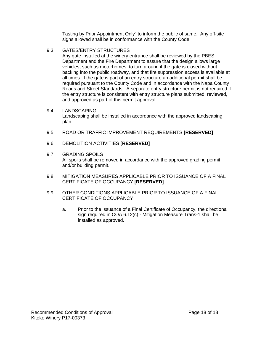Tasting by Prior Appointment Only" to inform the public of same. Any off-site signs allowed shall be in conformance with the County Code.

#### 9.3 GATES/ENTRY STRUCTURES

Any gate installed at the winery entrance shall be reviewed by the PBES Department and the Fire Department to assure that the design allows large vehicles, such as motorhomes, to turn around if the gate is closed without backing into the public roadway, and that fire suppression access is available at all times. If the gate is part of an entry structure an additional permit shall be required pursuant to the County Code and in accordance with the Napa County Roads and Street Standards. A separate entry structure permit is not required if the entry structure is consistent with entry structure plans submitted, reviewed, and approved as part of this permit approval.

#### 9.4 LANDSCAPING

Landscaping shall be installed in accordance with the approved landscaping plan.

- 9.5 ROAD OR TRAFFIC IMPROVEMENT REQUIREMENTS **[RESERVED]**
- 9.6 DEMOLITION ACTIVITIES **[RESERVED]**
- 9.7 GRADING SPOILS All spoils shall be removed in accordance with the approved grading permit and/or building permit.
- 9.8 MITIGATION MEASURES APPLICABLE PRIOR TO ISSUANCE OF A FINAL CERTIFICATE OF OCCUPANCY **[RESERVED]**
- 9.9 OTHER CONDITIONS APPLICABLE PRIOR TO ISSUANCE OF A FINAL CERTIFICATE OF OCCUPANCY
	- a. Prior to the issuance of a Final Certificate of Occupancy, the directional sign required in COA 6.12(c) - Mitigation Measure Trans-1 shall be installed as approved.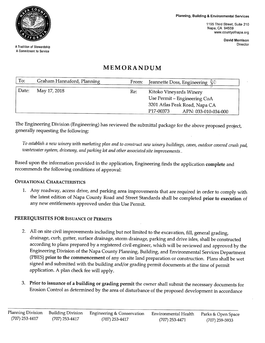

A Tradition of Stewardship A Commitment to Service

1195 Third Street, Suite 210 Napa, CA 94559 www.countyofnapa.org

> **David Morrison** Director

### MEMORANDUM

| To:   | Graham Hannaford, Planning | From: | Jeannette Doss, Engineering $\Psi$                                                       |
|-------|----------------------------|-------|------------------------------------------------------------------------------------------|
| Date: | May 17, 2018               | Re:   | Kitoko Vineyards Winery<br>Use Permit – Engineering CoA<br>3201 Atlas Peak Road, Napa CA |
|       |                            |       | P17-00373<br>APN: 033-010-034-000                                                        |

The Engineering Division (Engineering) has reviewed the submittal package for the above proposed project, generally requesting the following:

To establish a new winery with marketing plan and to construct new winery buildings, caves, outdoor covered crush pad, wastewater system, driveway, and parking lot and other associated site improvements..

Based upon the information provided in the application, Engineering finds the application complete and recommends the following conditions of approval:

#### **OPERATIONAL CHARACTERISTICS**

1. Any roadway, access drive, and parking area improvements that are required in order to comply with the latest edition of Napa County Road and Street Standards shall be completed prior to execution of any new entitlements approved under this Use Permit.

#### PREREQUISITES FOR ISSUANCE OF PERMITS

- 2. All on site civil improvements including but not limited to the excavation, fill, general grading, drainage, curb, gutter, surface drainage, storm drainage, parking and drive isles, shall be constructed according to plans prepared by a registered civil engineer, which will be reviewed and approved by the Engineering Division of the Napa County Planning, Building, and Environmental Services Department (PBES) prior to the commencement of any on site land preparation or construction. Plans shall be wet signed and submitted with the building and/or grading permit documents at the time of permit application. A plan check fee will apply.
- 3. Prior to issuance of a building or grading permit the owner shall submit the necessary documents for Erosion Control as determined by the area of disturbance of the proposed development in accordance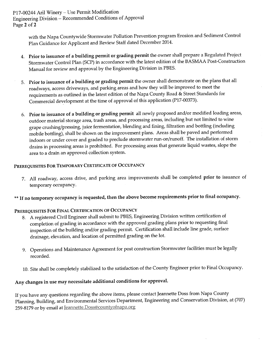P17-00244 Aril Winery - Use Permit Modification Engineering Division - Recommended Conditions of Approval Page 2 of 2

> with the Napa Countywide Stormwater Pollution Prevention program Erosion and Sediment Control Plan Guidance for Applicant and Review Staff dated December 2014.

- 4. Prior to issuance of a building permit or grading permit the owner shall prepare a Regulated Project Stormwater Control Plan (SCP) in accordance with the latest edition of the BASMAA Post-Construction Manual for review and approval by the Engineering Division in PBES.
- 5. Prior to issuance of a building or grading permit the owner shall demonstrate on the plans that all roadways, access driveways, and parking areas and how they will be improved to meet the requirements as outlined in the latest edition of the Napa County Road & Street Standards for Commercial development at the time of approval of this application (P17-00373).
- 6. Prior to issuance of a building or grading permit all newly proposed and/or modified loading areas, outdoor material storage area, trash areas, and processing areas, including but not limited to wine grape crushing/pressing, juice fermentation, blending and fining, filtration and bottling (including mobile bottling), shall be shown on the improvement plans. Areas shall be paved and performed indoors or under cover and graded to preclude stormwater run-on/runoff. The installation of storm drains in processing areas is prohibited. For processing areas that generate liquid wastes, slope the area to a drain an approved collection system.

#### PREREQUISITES FOR TEMPORARY CERTIFICATE OF OCCUPANCY

- 7. All roadway, access drive, and parking area improvements shall be completed prior to issuance of temporary occupancy.
- \*\* If no temporary occupancy is requested, then the above become requirements prior to final occupancy.

#### PREREQUISITES FOR FINAL CERTIFICATION OF OCCUPANCY

- 8. A registered Civil Engineer shall submit to PBES, Engineering Division written certification of completion of grading in accordance with the approved grading plans prior to requesting final inspection of the building and/or grading permit. Certification shall include line grade, surface drainage, elevation, and location of permitted grading on the lot.
- 9. Operations and Maintenance Agreement for post construction Stormwater facilities must be legally recorded.
- 10. Site shall be completely stabilized to the satisfaction of the County Engineer prior to Final Occupancy.

#### Any changes in use may necessitate additional conditions for approval.

If you have any questions regarding the above items, please contact Jeannette Doss from Napa County Planning, Building, and Environmental Services Department, Engineering and Conservation Division, at (707) 259-8179 or by email at Jeannette.Doss@countyofnapa.org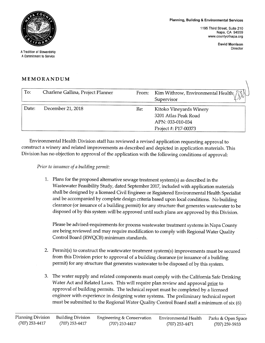**Planning, Building & Environmental Services** 

1195 Third Street, Suite 210 Napa, CA 94559 www.countyofnapa.org

> **David Morrison** Director



A Tradition of Stewardship A Commitment to Service

#### MEMORANDUM

| To:   | Charlene Gallina, Project Planner | From: | Kim Withrow, Environmental Health<br>Supervisor                                             |
|-------|-----------------------------------|-------|---------------------------------------------------------------------------------------------|
| Date: | December 21, 2018                 | Re:   | Kitoko Vineyards Winery<br>3201 Atlas Peak Road<br>APN: 033-010-034<br>Project #: P17-00373 |

Environmental Health Division staff has reviewed a revised application requesting approval to construct a winery and related improvements as described and depicted in application materials. This Division has no objection to approval of the application with the following conditions of approval:

Prior to issuance of a building permit:

1. Plans for the proposed alternative sewage treatment system(s) as described in the Wastewater Feasibility Study, dated September 2017, included with application materials shall be designed by a licensed Civil Engineer or Registered Environmental Health Specialist and be accompanied by complete design criteria based upon local conditions. No building clearance (or issuance of a building permit) for any structure that generates wastewater to be disposed of by this system will be approved until such plans are approved by this Division.

Please be advised-requirements for process wastewater treatment systems in Napa County are being reviewed and may require modification to comply with Regional Water Quality Control Board (RWQCB) minimum standards.

- 2. Permit(s) to construct the wastewater treatment system(s) improvements must be secured from this Division prior to approval of a building clearance (or issuance of a building permit) for any structure that generates wastewater to be disposed of by this system.
- 3. The water supply and related components must comply with the California Safe Drinking Water Act and Related Laws. This will require plan review and approval prior to approval of building permits. The technical report must be completed by a licensed engineer with experience in designing water systems. The preliminary technical report must be submitted to the Regional Water Quality Control Board staff a minimum of six (6)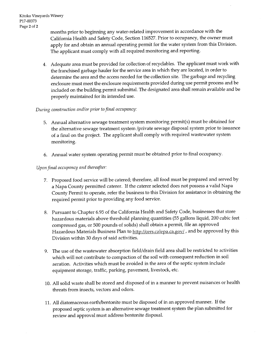Kitoko Vineyards Winery P17-00373 Page 2 of 2

> months prior to beginning any water-related improvement in accordance with the California Health and Safety Code, Section 116527. Prior to occupancy, the owner must apply for and obtain an annual operating permit for the water system from this Division. The applicant must comply with all required monitoring and reporting.

4. Adequate area must be provided for collection of recyclables. The applicant must work with the franchised garbage hauler for the service area in which they are located, in order to determine the area and the access needed for the collection site. The garbage and recycling enclosure must meet the enclosure requirements provided during use permit process and be included on the building permit submittal. The designated area shall remain available and be properly maintained for its intended use.

#### During construction and/or prior to final occupancy:

- 5. Annual alternative sewage treatment system monitoring permit(s) must be obtained for the alternative sewage treatment system /private sewage disposal system prior to issuance of a final on the project. The applicant shall comply with required wastewater system monitoring.
- 6. Annual water system operating permit must be obtained prior to final occupancy.

#### Upon final occupancy and thereafter:

- 7. Proposed food service will be catered; therefore, all food must be prepared and served by a Napa County permitted caterer. If the caterer selected does not possess a valid Napa County Permit to operate, refer the business to this Division for assistance in obtaining the required permit prior to providing any food service.
- 8. Pursuant to Chapter 6.95 of the California Health and Safety Code, businesses that store hazardous materials above threshold planning quantities (55 gallons liquid, 200 cubic feet compressed gas, or 500 pounds of solids) shall obtain a permit, file an approved Hazardous Materials Business Plan to http://cers.calepa.ca.gov/, and be approved by this Division within 30 days of said activities.
- 9. The use of the wastewater absorption field/drain field area shall be restricted to activities which will not contribute to compaction of the soil with consequent reduction in soil aeration. Activities which must be avoided in the area of the septic system include equipment storage, traffic, parking, pavement, livestock, etc.
- 10. All solid waste shall be stored and disposed of in a manner to prevent nuisances or health threats from insects, vectors and odors.
- 11. All diatomaceous earth/bentonite must be disposed of in an approved manner. If the proposed septic system is an alternative sewage treatment system the plan submitted for review and approval must address bentonite disposal.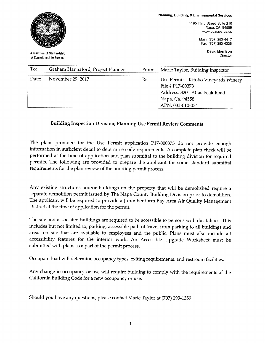

A Tradition of Stewardship A Commitment to Service

Planning, Building, & Environmental Services

1195 Third Street, Suite 210 Napa, CA 94559 www.co.napa.ca.us

> Main: (707) 253-4417 Fax: (707) 253-4336

> > **David Morrison** Director

| To:<br>Graham Hannaford, Project Planner | From: | Marie Taylor, Building Inspector                                                                                                 |
|------------------------------------------|-------|----------------------------------------------------------------------------------------------------------------------------------|
| Date:<br>November 29, 2017               | Re:   | Use Permit – Kitoko Vineyards Winery<br>File # P17-00373<br>Address: 3201 Atlas Peak Road<br>Napa, Ca. 94558<br>APN: 033-010-034 |

#### **Building Inspection Division; Planning Use Permit Review Comments**

The plans provided for the Use Permit application P17-000373 do not provide enough information in sufficient detail to determine code requirements. A complete plan check will be performed at the time of application and plan submittal to the building division for required permits. The following are provided to prepare the applicant for some standard submittal requirements for the plan review of the building permit process.

Any existing structures and/or buildings on the property that will be demolished require a separate demolition permit issued by The Napa County Building Division prior to demolition. The applicant will be required to provide a J number form Bay Area Air Quality Management District at the time of application for the permit.

The site and associated buildings are required to be accessible to persons with disabilities. This includes but not limited to, parking, accessible path of travel from parking to all buildings and areas on site that are available to employees and the public. Plans must also include all accessibility features for the interior work. An Accessible Upgrade Worksheet must be submitted with plans as a part of the permit process.

Occupant load will determine occupancy types, exiting requirements, and restroom facilities.

Any change in occupancy or use will require building to comply with the requirements of the California Building Code for a new occupancy or use.

Should you have any questions, please contact Marie Taylor at (707) 299-1359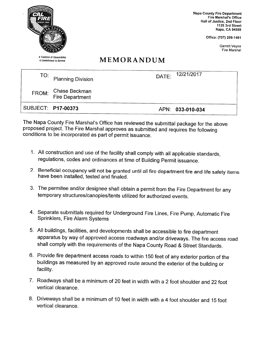

The Napa County Fire Marshal's Office has reviewed the submittal package for the above proposed project. The Fire Marshal approves as submitted and requires the following conditions to be incorporated as part of permit issuance.

- 1. All construction and use of the facility shall comply with all applicable standards, regulations, codes and ordinances at time of Building Permit issuance.
- 2. Beneficial occupancy will not be granted until all fire department fire and life safety items have been installed, tested and finaled.
- 3. The permitee and/or designee shall obtain a permit from the Fire Department for any temporary structures/canopies/tents utilized for authorized events.
- 4. Separate submittals required for Underground Fire Lines, Fire Pump, Automatic Fire Sprinklers, Fire Alarm Systems
- 5. All buildings, facilities, and developments shall be accessible to fire department apparatus by way of approved access roadways and/or driveways. The fire access road shall comply with the requirements of the Napa County Road & Street Standards.
- 6. Provide fire department access roads to within 150 feet of any exterior portion of the buildings as measured by an approved route around the exterior of the building or facility.
- 7. Roadways shall be a minimum of 20 feet in width with a 2 foot shoulder and 22 foot vertical clearance.
- 8. Driveways shall be a minimum of 10 feet in width with a 4 foot shoulder and 15 foot vertical clearance.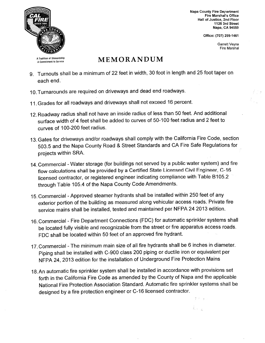

A Commitment to Service

**Napa County Fire Department Fire Marshal's Office** Hall of Justice, 2nd Floor 1125 3rd Street Napa, CA 94559

Office: (707) 299-1461

Garrett Veyna Fire Marshal

# MEMORANDUM

- 9. Turnouts shall be a minimum of 22 feet in width, 30 foot in length and 25 foot taper on each end.
- 10. Turnarounds are required on driveways and dead end roadways.
- 11. Grades for all roadways and driveways shall not exceed 16 percent.
- 12. Roadway radius shall not have an inside radius of less than 50 feet. And additional surface width of 4 feet shall be added to curves of 50-100 feet radius and 2 feet to curves of 100-200 feet radius.
- 13. Gates for driveways and/or roadways shall comply with the California Fire Code, section 503.5 and the Napa County Road & Street Standards and CA Fire Safe Regulations for projects within SRA.
- 14. Commercial Water storage (for buildings not served by a public water system) and fire flow calculations shall be provided by a Certified State Licensed Civil Engineer, C-16 licensed contractor, or registered engineer indicating compliance with Table B105.2 through Table 105.4 of the Napa County Code Amendments.
- 15. Commercial Approved steamer hydrants shall be installed within 250 feet of any exterior portion of the building as measured along vehicular access roads. Private fire service mains shall be installed, tested and maintained per NFPA 24 2013 edition.
- 16. Commercial Fire Department Connections (FDC) for automatic sprinkler systems shall be located fully visible and recognizable from the street or fire apparatus access roads. FDC shall be located within 50 feet of an approved fire hydrant.
- 17. Commercial The minimum main size of all fire hydrants shall be 6 inches in diameter. Piping shall be installed with C-900 class 200 piping or ductile iron or equivalent per NFPA 24, 2013 edition for the installation of Underground Fire Protection Mains
- 18. An automatic fire sprinkler system shall be installed in accordance with provisions set forth in the California Fire Code as amended by the County of Napa and the applicable National Fire Protection Association Standard. Automatic fire sprinkler systems shall be designed by a fire protection engineer or C-16 licensed contractor.

 $7 - 7 - 8$ 

 $\tilde{k}_{\rm m,2}=\frac{1}{2}$